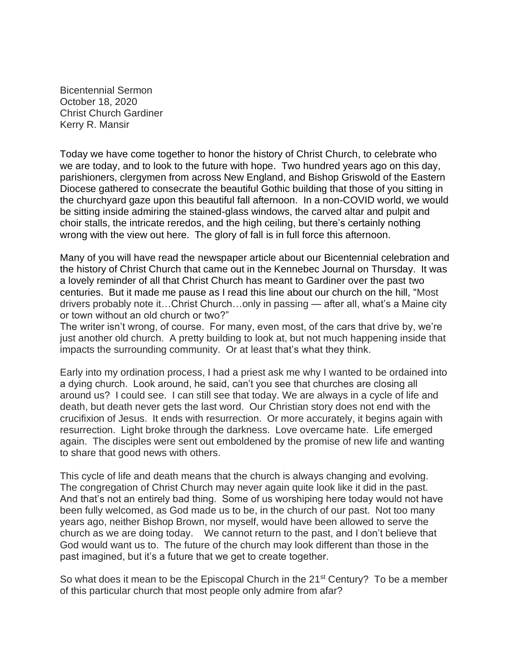Bicentennial Sermon October 18, 2020 Christ Church Gardiner Kerry R. Mansir

Today we have come together to honor the history of Christ Church, to celebrate who we are today, and to look to the future with hope. Two hundred years ago on this day, parishioners, clergymen from across New England, and Bishop Griswold of the Eastern Diocese gathered to consecrate the beautiful Gothic building that those of you sitting in the churchyard gaze upon this beautiful fall afternoon. In a non-COVID world, we would be sitting inside admiring the stained-glass windows, the carved altar and pulpit and choir stalls, the intricate reredos, and the high ceiling, but there's certainly nothing wrong with the view out here. The glory of fall is in full force this afternoon.

Many of you will have read the newspaper article about our Bicentennial celebration and the history of Christ Church that came out in the Kennebec Journal on Thursday. It was a lovely reminder of all that Christ Church has meant to Gardiner over the past two centuries. But it made me pause as I read this line about our church on the hill, "Most drivers probably note it…Christ Church…only in passing — after all, what's a Maine city or town without an old church or two?"

The writer isn't wrong, of course. For many, even most, of the cars that drive by, we're just another old church. A pretty building to look at, but not much happening inside that impacts the surrounding community. Or at least that's what they think.

Early into my ordination process, I had a priest ask me why I wanted to be ordained into a dying church. Look around, he said, can't you see that churches are closing all around us? I could see. I can still see that today. We are always in a cycle of life and death, but death never gets the last word. Our Christian story does not end with the crucifixion of Jesus. It ends with resurrection. Or more accurately, it begins again with resurrection. Light broke through the darkness. Love overcame hate. Life emerged again. The disciples were sent out emboldened by the promise of new life and wanting to share that good news with others.

This cycle of life and death means that the church is always changing and evolving. The congregation of Christ Church may never again quite look like it did in the past. And that's not an entirely bad thing. Some of us worshiping here today would not have been fully welcomed, as God made us to be, in the church of our past. Not too many years ago, neither Bishop Brown, nor myself, would have been allowed to serve the church as we are doing today. We cannot return to the past, and I don't believe that God would want us to. The future of the church may look different than those in the past imagined, but it's a future that we get to create together.

So what does it mean to be the Episcopal Church in the 21<sup>st</sup> Century? To be a member of this particular church that most people only admire from afar?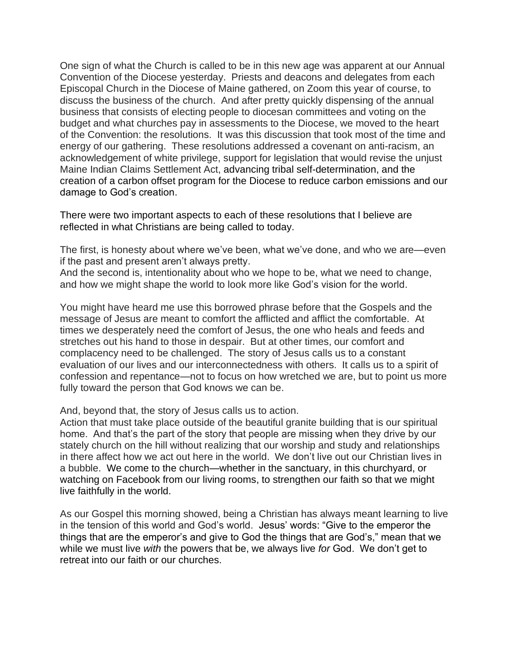One sign of what the Church is called to be in this new age was apparent at our Annual Convention of the Diocese yesterday. Priests and deacons and delegates from each Episcopal Church in the Diocese of Maine gathered, on Zoom this year of course, to discuss the business of the church. And after pretty quickly dispensing of the annual business that consists of electing people to diocesan committees and voting on the budget and what churches pay in assessments to the Diocese, we moved to the heart of the Convention: the resolutions. It was this discussion that took most of the time and energy of our gathering. These resolutions addressed a covenant on anti-racism, an acknowledgement of white privilege, support for legislation that would revise the unjust Maine Indian Claims Settlement Act, advancing tribal self-determination, and the creation of a carbon offset program for the Diocese to reduce carbon emissions and our damage to God's creation.

There were two important aspects to each of these resolutions that I believe are reflected in what Christians are being called to today.

The first, is honesty about where we've been, what we've done, and who we are—even if the past and present aren't always pretty.

And the second is, intentionality about who we hope to be, what we need to change, and how we might shape the world to look more like God's vision for the world.

You might have heard me use this borrowed phrase before that the Gospels and the message of Jesus are meant to comfort the afflicted and afflict the comfortable. At times we desperately need the comfort of Jesus, the one who heals and feeds and stretches out his hand to those in despair. But at other times, our comfort and complacency need to be challenged. The story of Jesus calls us to a constant evaluation of our lives and our interconnectedness with others. It calls us to a spirit of confession and repentance—not to focus on how wretched we are, but to point us more fully toward the person that God knows we can be.

And, beyond that, the story of Jesus calls us to action.

Action that must take place outside of the beautiful granite building that is our spiritual home. And that's the part of the story that people are missing when they drive by our stately church on the hill without realizing that our worship and study and relationships in there affect how we act out here in the world. We don't live out our Christian lives in a bubble. We come to the church—whether in the sanctuary, in this churchyard, or watching on Facebook from our living rooms, to strengthen our faith so that we might live faithfully in the world.

As our Gospel this morning showed, being a Christian has always meant learning to live in the tension of this world and God's world. Jesus' words: "Give to the emperor the things that are the emperor's and give to God the things that are God's," mean that we while we must live *with* the powers that be, we always live *for* God. We don't get to retreat into our faith or our churches.